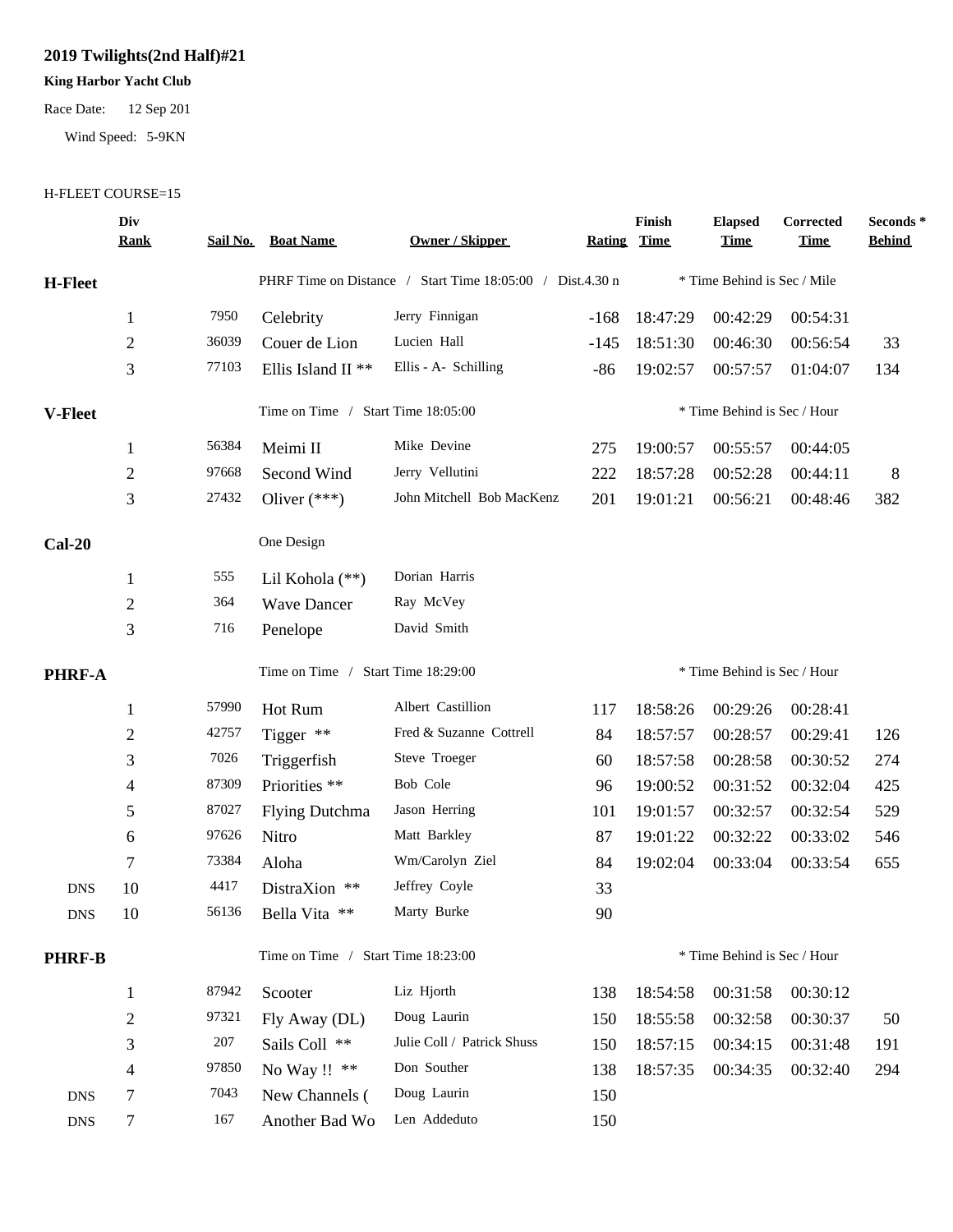## **2019 Twilights(2nd Half)#21**

## **King Harbor Yacht Club**

Race Date: 12 Sep 201

Wind Speed: 5-9KN

## H-FLEET COURSE=15

|                | Div<br><u>Rank</u> |                                    | <b>Sail No. Boat Name</b>                                 | <b>Owner / Skipper</b>     | <b>Rating</b> | Finish<br>Time              | <b>Elapsed</b><br><u>Time</u> | Corrected<br><b>Time</b> | Seconds *<br><b>Behind</b> |
|----------------|--------------------|------------------------------------|-----------------------------------------------------------|----------------------------|---------------|-----------------------------|-------------------------------|--------------------------|----------------------------|
| <b>H-Fleet</b> |                    |                                    | PHRF Time on Distance / Start Time 18:05:00 / Dist.4.30 n |                            |               | * Time Behind is Sec / Mile |                               |                          |                            |
|                | $\mathbf{1}$       | 7950                               | Celebrity                                                 | Jerry Finnigan             | $-168$        | 18:47:29                    | 00:42:29                      | 00:54:31                 |                            |
|                | $\mathbf{2}$       | 36039                              | Couer de Lion                                             | Lucien Hall                | $-145$        | 18:51:30                    | 00:46:30                      | 00:56:54                 | 33                         |
|                | 3                  | 77103                              | Ellis Island II <sup>**</sup>                             | Ellis - A- Schilling       | $-86$         | 19:02:57                    | 00:57:57                      | 01:04:07                 | 134                        |
| <b>V-Fleet</b> |                    | Time on Time / Start Time 18:05:00 |                                                           |                            |               | * Time Behind is Sec / Hour |                               |                          |                            |
|                | $\mathbf{1}$       | 56384                              | Meimi II                                                  | Mike Devine                | 275           | 19:00:57                    | 00:55:57                      | 00:44:05                 |                            |
|                | $\mathbf{2}$       | 97668                              | Second Wind                                               | Jerry Vellutini            | 222           | 18:57:28                    | 00:52:28                      | 00:44:11                 | 8                          |
|                | 3                  | 27432                              | Oliver $(***)$                                            | John Mitchell Bob MacKenz  | 201           | 19:01:21                    | 00:56:21                      | 00:48:46                 | 382                        |
| $Cal-20$       |                    |                                    | One Design                                                |                            |               |                             |                               |                          |                            |
|                | $\mathbf{1}$       | 555                                | Lil Kohola (**)                                           | Dorian Harris              |               |                             |                               |                          |                            |
|                | $\mathbf{2}$       | 364                                | <b>Wave Dancer</b>                                        | Ray McVey                  |               |                             |                               |                          |                            |
|                | 3                  | 716                                | Penelope                                                  | David Smith                |               |                             |                               |                          |                            |
| <b>PHRF-A</b>  |                    |                                    | Time on Time / Start Time 18:29:00                        |                            |               | * Time Behind is Sec / Hour |                               |                          |                            |
|                | $\mathbf{1}$       | 57990                              | Hot Rum                                                   | Albert Castillion          | 117           | 18:58:26                    | 00:29:26                      | 00:28:41                 |                            |
|                | $\overline{c}$     | 42757                              | Tigger **                                                 | Fred & Suzanne Cottrell    | 84            | 18:57:57                    | 00:28:57                      | 00:29:41                 | 126                        |
|                | 3                  | 7026                               | Triggerfish                                               | Steve Troeger              | 60            | 18:57:58                    | 00:28:58                      | 00:30:52                 | 274                        |
|                | 4                  | 87309                              | Priorities **                                             | Bob Cole                   | 96            | 19:00:52                    | 00:31:52                      | 00:32:04                 | 425                        |
|                | 5                  | 87027                              | <b>Flying Dutchma</b>                                     | Jason Herring              | 101           | 19:01:57                    | 00:32:57                      | 00:32:54                 | 529                        |
|                | 6                  | 97626                              | Nitro                                                     | Matt Barkley               | 87            | 19:01:22                    | 00:32:22                      | 00:33:02                 | 546                        |
|                | 7                  | 73384                              | Aloha                                                     | Wm/Carolyn Ziel            | 84            | 19:02:04                    | 00:33:04                      | 00:33:54                 | 655                        |
| <b>DNS</b>     | 10                 | 4417                               | DistraXion **                                             | Jeffrey Coyle              | 33            |                             |                               |                          |                            |
| ${\rm DNS}$    | 10                 |                                    | 56136 Bella Vita **                                       | Marty Burke                | 90            |                             |                               |                          |                            |
| <b>PHRF-B</b>  |                    |                                    | Time on Time / Start Time 18:23:00                        |                            |               | * Time Behind is Sec / Hour |                               |                          |                            |
|                | $\mathbf{1}$       | 87942                              | Scooter                                                   | Liz Hjorth                 | 138           | 18:54:58                    | 00:31:58                      | 00:30:12                 |                            |
|                | $\overline{c}$     | 97321                              | Fly Away (DL)                                             | Doug Laurin                | 150           | 18:55:58                    | 00:32:58                      | 00:30:37                 | 50                         |
|                | 3                  | 207                                | Sails Coll **                                             | Julie Coll / Patrick Shuss | 150           | 18:57:15                    | 00:34:15                      | 00:31:48                 | 191                        |
|                | 4                  | 97850                              | No Way !! **                                              | Don Souther                | 138           | 18:57:35                    | 00:34:35                      | 00:32:40                 | 294                        |
| <b>DNS</b>     | 7                  | 7043                               | New Channels (                                            | Doug Laurin                | 150           |                             |                               |                          |                            |
| <b>DNS</b>     | 7                  | 167                                | Another Bad Wo                                            | Len Addeduto               | 150           |                             |                               |                          |                            |
|                |                    |                                    |                                                           |                            |               |                             |                               |                          |                            |